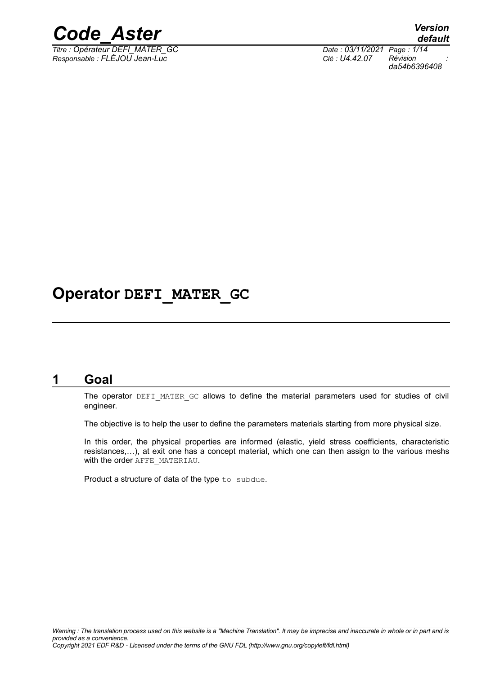

*Titre : Opérateur DEFI\_MATER\_GC Date : 03/11/2021 Page : 1/14 Responsable : FLÉJOU Jean-Luc Clé : U4.42.07 Révision :*

*default da54b6396408*

# **Operator DEFI\_MATER\_GC**

# **1 Goal**

<span id="page-0-0"></span>The operator DEFI\_MATER\_GC allows to define the material parameters used for studies of civil engineer.

The objective is to help the user to define the parameters materials starting from more physical size.

In this order, the physical properties are informed (elastic, yield stress coefficients, characteristic resistances,…), at exit one has a concept material, which one can then assign to the various meshs with the order AFFE\_MATERIAU.

Product a structure of data of the type to subdue.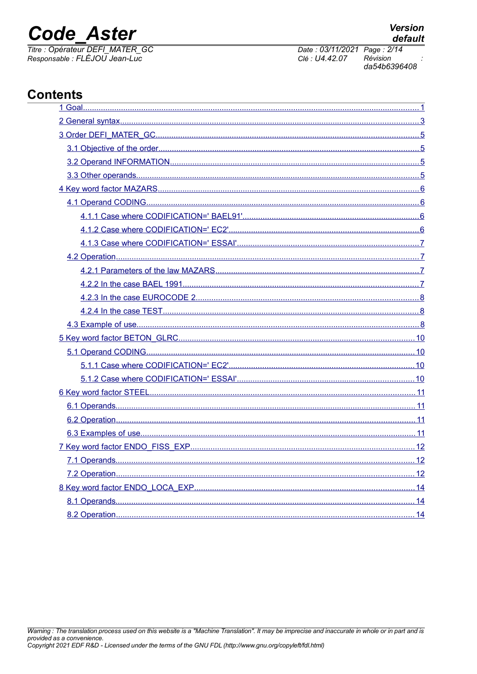# **Code Aster**

Titre : Opérateur DEFI\_MATER\_GC Responsable : FLÉJOU Jean-Luc

Date: 03/11/2021 Page: 2/14 Clé : U4.42.07 Révision da54b6396408

# **Contents**

| 8.2 Operation and the contract of the contract of the contract of the contract of the contract of the contract of the contract of the contract of the contract of the contract of the contract of the contract of the contract<br>$\sim$ 14 |  |
|---------------------------------------------------------------------------------------------------------------------------------------------------------------------------------------------------------------------------------------------|--|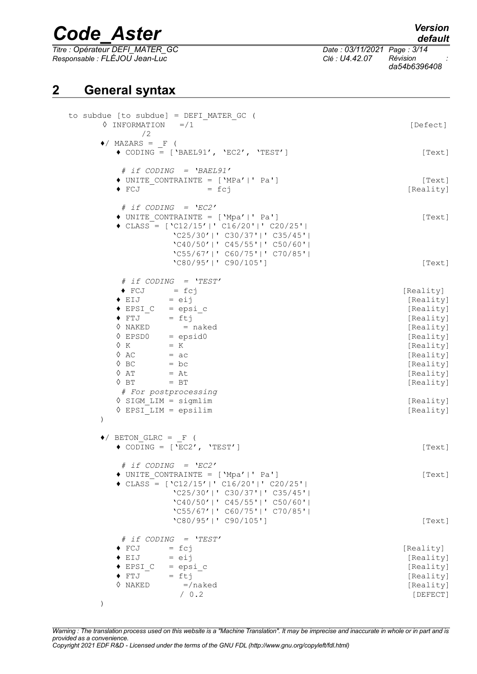*Titre : Opérateur DEFI\_MATER\_GC Date : 03/11/2021 Page : 3/14 Responsable : FLÉJOU Jean-Luc Clé : U4.42.07 Révision :*

*da54b6396408*

# **2 General syntax**

<span id="page-2-0"></span>

| to subdue [to subdue] = DEFI MATER GC (<br>$\Diamond$ INFORMATION =/1<br>/2                                                                                                                                                                                                                                                                                                                                                                                                                                                          | [Defect]                                                                                                                                                                        |
|--------------------------------------------------------------------------------------------------------------------------------------------------------------------------------------------------------------------------------------------------------------------------------------------------------------------------------------------------------------------------------------------------------------------------------------------------------------------------------------------------------------------------------------|---------------------------------------------------------------------------------------------------------------------------------------------------------------------------------|
| $\bullet$ / MAZARS = F (<br>$\bullet$ CODING = ['BAEL91', 'EC2', 'TEST']                                                                                                                                                                                                                                                                                                                                                                                                                                                             | [Text]                                                                                                                                                                          |
| $\#$ if CODING = 'BAEL91'<br>$\blacklozenge$ UNITE CONTRAINTE = ['MPa' ' Pa']<br>$\blacklozenge$ FCJ<br>$=$ $fcj$                                                                                                                                                                                                                                                                                                                                                                                                                    | [Text]<br>[Reality]                                                                                                                                                             |
| # if $\text{COLING}$ = $\text{'EC2'}$<br>◆ UNITE CONTRAINTE = ['Mpa' ' Pa']<br>$\triangleleft$ CLASS = ['C12/15' ' C16/20' ' C20/25' <br>$'C25/30'$  ' C30/37' ' C35/45' <br>$'C40/50'$  ' C45/55' ' C50/60' <br>$'C55/67'$  ' C60/75' ' C70/85' <br>'C80/95'   ' C90/105']                                                                                                                                                                                                                                                          | [Text]                                                                                                                                                                          |
| # if $\text{COLING}$ = $\text{YEST'}$<br>$\bullet$ FCJ = fcj<br>$\bullet$ EIJ = eij<br>$\bullet$ EPSI_C = epsi_c<br>$\begin{array}{cc} \bullet & \text{FTJ} \\ \end{array}$ = ftj<br>$\begin{array}{rcl}\n\vee & \text{wAKED} & = \text{naked} \\ \lozenge & \text{EPSD0} & = \text{epsid0} \\ \lozenge & K & - \end{array}$<br>$\Diamond$ AC = ac<br>$\Diamond$ BC = bc<br>$\Diamond$ AT = At<br>$\Diamond$ BT<br>$=$ BT<br># For postprocessing<br>$\Diamond$ SIGM LIM = sigmlim<br>$\Diamond$ EPSI LIM = epsilim<br>$\mathcal{C}$ | [Text]<br>[Reality]<br>[Reality]<br>[Reality]<br>[Reality]<br>[Reality]<br>[Reality]<br>[Reality]<br>[Reality]<br>[Reality]<br>[Reality]<br>[Reality]<br>[Reality]<br>[Reality] |
| $\blacklozenge$ BETON GLRC = F (<br>$\bullet$ CODING = ['EC2', 'TEST']                                                                                                                                                                                                                                                                                                                                                                                                                                                               | [Text]                                                                                                                                                                          |
| # if $\text{COLING}$ = $\text{'EC2'}$<br>◆ UNITE CONTRAINTE = ['Mpa' ' Pa']<br>$\triangleleft$ CLASS = ['C12/15' ' C16/20' ' C20/25' <br>$'C25/30'$  ' C30/37' ' C35/45' <br>'C40/50'   ' C45/55'   ' C50/60'  <br>$'C55/67'$  ' C60/75' ' C70/85'                                                                                                                                                                                                                                                                                   | [Text]                                                                                                                                                                          |
| $'$ C80/95'   ' C90/105']<br># if $\text{COLING}$ = $\text{YEST}$<br>$\blacklozenge$ FCJ<br>$=$ fcj<br>$\blacklozenge$ EIJ<br>$=$ $eij$<br>$\triangle$ EPSI C<br>$=$ epsi $c$<br>$\blacklozenge$ FTJ<br>$=$ ftj<br>$\Diamond$ NAKED<br>$=$ /naked<br>/ 0.2                                                                                                                                                                                                                                                                           | [Text]<br>[Reality]<br>[Reality]<br>[Reality]<br>[Reality]<br>[Reality]<br>[DEFECT]                                                                                             |

*Warning : The translation process used on this website is a "Machine Translation". It may be imprecise and inaccurate in whole or in part and is provided as a convenience. Copyright 2021 EDF R&D - Licensed under the terms of the GNU FDL (http://www.gnu.org/copyleft/fdl.html)*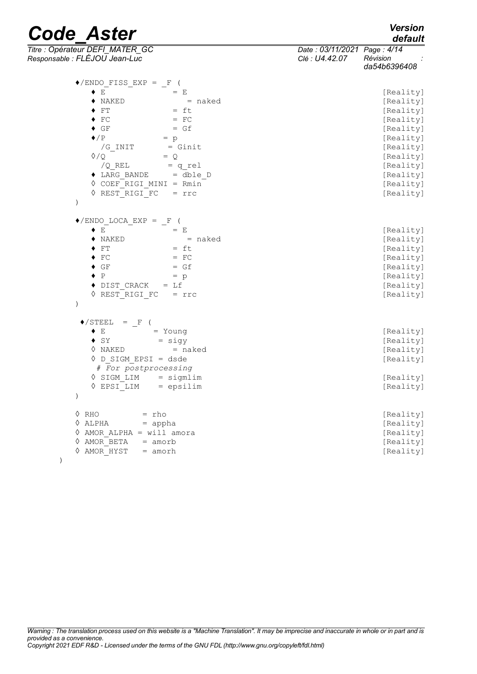# *default*

| <b>Code Aster</b>                                                |                                               | <b>Version</b><br>default |
|------------------------------------------------------------------|-----------------------------------------------|---------------------------|
| Titre : Opérateur DEFI_MATER_GC<br>Responsable : FLÉJOU Jean-Luc | Date: 03/11/2021 Page: 4/14<br>Clé : U4.42.07 | Révision<br>da54b6396408  |
| $\blacklozenge$ /ENDO FISS EXP = F (                             |                                               |                           |
| $\blacklozenge$ $E$<br>$=$ E                                     |                                               | [Reality]                 |
| $\blacklozenge$ naked<br>= naked                                 |                                               | [Reality]                 |
| $=$ ft<br>$\blacklozenge$ FT                                     |                                               | [Reality]                 |
| $\blacklozenge$ FC<br>$=$ FC                                     |                                               | [Reality]                 |
| $\blacklozenge$ GF<br>$= Gf$                                     |                                               | [Reality]                 |
| $\blacklozenge$ /P<br>$= p$                                      |                                               | [Reality]                 |
| = Ginit<br>/G INIT                                               |                                               | [Reality]                 |
| $\Diamond$ / $\Diamond$<br>$= Q$                                 |                                               | [Reality]                 |
| /Q REL<br>= q rel                                                |                                               | [Reality]                 |
| $\bullet$ LARG BANDE = dble D                                    |                                               | [Reality]                 |
| $\Diamond$ COEF RIGI MINI = Rmin                                 |                                               | [Reality]                 |
| ♦ REST RIGI FC<br>$= \text{rrc}$                                 |                                               | [Reality]                 |
| $\lambda$                                                        |                                               |                           |
| $\blacklozenge$ /ENDO LOCA EXP = F (                             |                                               |                           |
| $=$ E<br>♦ E                                                     |                                               | [Reality]                 |
| $=$ naked<br>$\blacklozenge$ NAKED                               |                                               | [Reality]                 |
| $=$ ft<br>$\blacklozenge$ FT                                     |                                               | [Reality]                 |
| $\blacklozenge$ FC<br>$=$ FC                                     |                                               | [Reality]                 |
| $= Gf$<br>$\bullet$ GF                                           |                                               | [Reality]                 |
| $\bullet$ P<br>$= p$                                             |                                               | [Reality]                 |
| ◆ DIST CRACK<br>$= Lf$                                           |                                               | [Reality]                 |
| ♦ REST RIGI FC<br>$= \text{rrc}$                                 |                                               | [Reality]                 |
| $\mathcal{C}$                                                    |                                               |                           |
| $\blacklozenge$ /STEEL<br>$=$ F                                  |                                               |                           |
| $\blacklozenge$ $E$<br>$=$ Young                                 |                                               | [Reality]                 |
| $= sigy$<br>$\bullet$ SY                                         |                                               | [Reality]                 |
| $=$ naked<br>0 NAKED                                             |                                               | [Reality]                 |
| $\lozenge$ D SIGM EPSI = dsde                                    |                                               | [Reality]                 |
| # For postprocessing                                             |                                               |                           |
| $\Diamond$ SIGM LIM<br>$=$ sigmlim                               |                                               | [Reality]                 |
| = epsilim<br>♦ EPSI LIM                                          |                                               | [Reality]                 |
| $\mathcal{E}$                                                    |                                               |                           |
| $\Diamond$ RHO<br>$=$ rho                                        |                                               | [Reality]                 |
| $\Diamond$ ALPHA<br>$=$ appha                                    |                                               | [Reality]                 |
| $\Diamond$ AMOR ALPHA = will amora                               |                                               | [Reality]                 |
| ♦ AMOR BETA<br>$=$ amorb                                         |                                               | [Reality]                 |
| ♦ AMOR HYST<br>$=$ amorh                                         |                                               | [Reality]                 |
|                                                                  |                                               |                           |

*Warning : The translation process used on this website is a "Machine Translation". It may be imprecise and inaccurate in whole or in part and is provided as a convenience. Copyright 2021 EDF R&D - Licensed under the terms of the GNU FDL (http://www.gnu.org/copyleft/fdl.html)*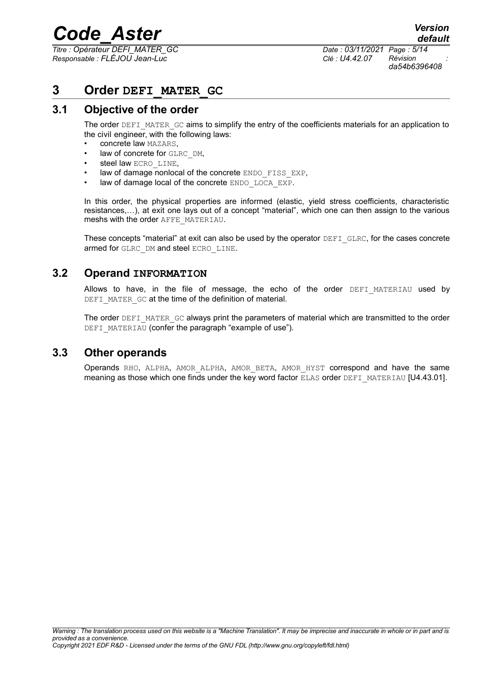*Titre : Opérateur DEFI\_MATER\_GC Date : 03/11/2021 Page : 5/14 Responsable : FLÉJOU Jean-Luc Clé : U4.42.07 Révision :*

*da54b6396408*

# <span id="page-4-3"></span>**3 Order DEFI\_MATER\_GC**

# **3.1 Objective of the order**

<span id="page-4-2"></span>The order DEFI\_MATER\_GC aims to simplify the entry of the coefficients materials for an application to the civil engineer, with the following laws:

- concrete law MAZARS,
- law of concrete for GLRC\_DM,
- steel law ECRO\_LINE.
- law of damage nonlocal of the concrete ENDO\_FISS\_EXP,
- law of damage local of the concrete ENDO LOCA EXP.

In this order, the physical properties are informed (elastic, yield stress coefficients, characteristic resistances,…), at exit one lays out of a concept "material", which one can then assign to the various meshs with the order AFFE\_MATERIAU.

These concepts "material" at exit can also be used by the operator DEFI\_GLRC, for the cases concrete armed for GLRC DM and steel ECRO LINE.

### **3.2 Operand INFORMATION**

<span id="page-4-1"></span>Allows to have, in the file of message, the echo of the order DEFI MATERIAU used by DEFI\_MATER\_GC at the time of the definition of material.

The order DEFI\_MATER\_GC always print the parameters of material which are transmitted to the order DEFI\_MATERIAU (confer the paragraph "example of use").

### **3.3 Other operands**

<span id="page-4-0"></span>Operands RHO, ALPHA, AMOR\_ALPHA, AMOR\_BETA, AMOR\_HYST correspond and have the same meaning as those which one finds under the key word factor ELAS order DEFI\_MATERIAU [U4.43.01].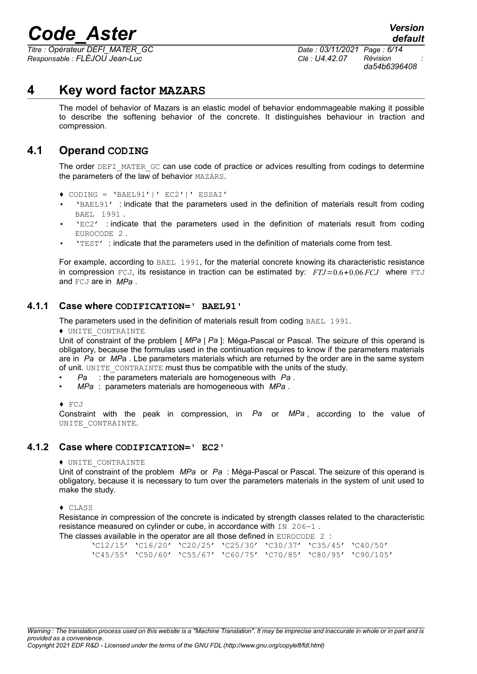*Titre : Opérateur DEFI\_MATER\_GC Date : 03/11/2021 Page : 6/14 Responsable : FLÉJOU Jean-Luc Clé : U4.42.07 Révision :*

*da54b6396408*

# **4 Key word factor MAZARS**

<span id="page-5-3"></span>The model of behavior of Mazars is an elastic model of behavior endommageable making it possible to describe the softening behavior of the concrete. It distinguishes behaviour in traction and compression.

# **4.1 Operand CODING**

<span id="page-5-2"></span>The order DEFI\_MATER\_GC can use code of practice or advices resulting from codings to determine the parameters of the law of behavior MAZARS.

- ♦ CODING = 'BAEL91'|' EC2'|' ESSAI'
- 'BAEL91' : indicate that the parameters used in the definition of materials result from coding BAEL 1991 .
- 'EC2' : indicate that the parameters used in the definition of materials result from coding EUROCODE 2 .
- 'TEST' : indicate that the parameters used in the definition of materials come from test.

For example, according to BAEL 1991, for the material concrete knowing its characteristic resistance in compression FCJ, its resistance in traction can be estimated by: *FTJ*=0.6+0.06 *FCJ* where FTJ and FCJ are in *MPa* .

#### **4.1.1 Case where CODIFICATION=' BAEL91'**

<span id="page-5-1"></span>The parameters used in the definition of materials result from coding BAEL 1991.

♦ UNITE\_CONTRAINTE

Unit of constraint of the problem [ *MPa* | *Pa* ]: Méga-Pascal or Pascal. The seizure of this operand is obligatory, because the formulas used in the continuation requires to know if the parameters materials are in *Pa* or *MPa* . Lbe parameters materials which are returned by the order are in the same system of unit. UNITE\_CONTRAINTE must thus be compatible with the units of the study.

- *Pa* : the parameters materials are homogeneous with *Pa* .
- *MPa* : parameters materials are homogeneous with *MPa* .
- ♦ FCJ

Constraint with the peak in compression, in *Pa* or *MPa* , according to the value of UNITE CONTRAINTE.

#### **4.1.2 Case where CODIFICATION=' EC2'**

#### <span id="page-5-0"></span>♦ UNITE\_CONTRAINTE

Unit of constraint of the problem *MPa* or *Pa* : Méga-Pascal or Pascal. The seizure of this operand is obligatory, because it is necessary to turn over the parameters materials in the system of unit used to make the study.

♦ CLASS

Resistance in compression of the concrete is indicated by strength classes related to the characteristic resistance measured on cylinder or cube, in accordance with IN 206-1.

The classes available in the operator are all those defined in EUROCODE 2 : 'C12/15' 'C16/20' 'C20/25' 'C25/30' 'C30/37' 'C35/45' 'C40/50' 'C45/55' 'C50/60' 'C55/67' 'C60/75' 'C70/85' 'C80/95' 'C90/105'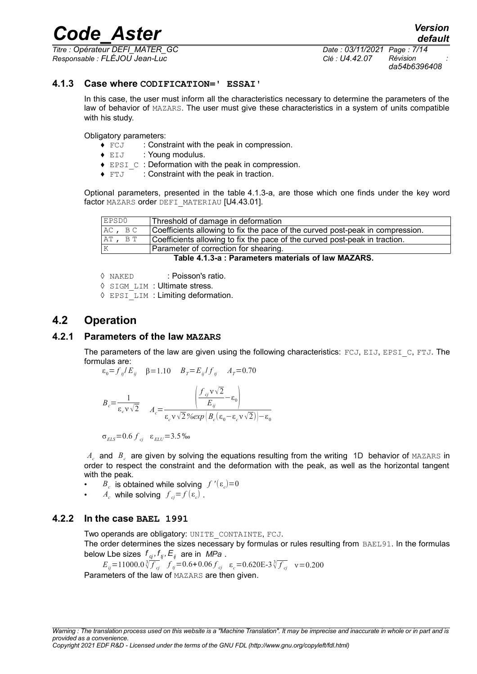*Responsable : FLÉJOU Jean-Luc Clé : U4.42.07 Révision :*

*Titre : Opérateur DEFI\_MATER\_GC Date : 03/11/2021 Page : 7/14 da54b6396408*

#### **4.1.3 Case where CODIFICATION=' ESSAI'**

<span id="page-6-3"></span>In this case, the user must inform all the characteristics necessary to determine the parameters of the law of behavior of MAZARS. The user must give these characteristics in a system of units compatible with his study.

Obligatory parameters:

- $\bullet$   $FCJ$  : Constraint with the peak in compression.
- ♦ EIJ : Young modulus.
- ♦ EPSI\_C : Deformation with the peak in compression.
- ♦ FTJ : Constraint with the peak in traction.

Optional parameters, presented in the table [4.1.3-a,](#page-6-4) are those which one finds under the key word factor MAZARS order DEFI\_MATERIAU [U4.43.01].

| EPSD0                                               | Threshold of damage in deformation                                            |  |
|-----------------------------------------------------|-------------------------------------------------------------------------------|--|
| AC, BC                                              | Coefficients allowing to fix the pace of the curved post-peak in compression. |  |
| AT, BT                                              | Coefficients allowing to fix the pace of the curved post-peak in traction.    |  |
| Parameter of correction for shearing.               |                                                                               |  |
| Table 4.1.3-a : Parameters materials of law MAZARS. |                                                                               |  |

<span id="page-6-4"></span>◊ NAKED : Poisson's ratio.

◊ SIGM\_LIM : Ultimate stress.

<span id="page-6-2"></span>◊ EPSI\_LIM : Limiting deformation.

### **4.2 Operation**

#### **4.2.1 Parameters of the law MAZARS**

<span id="page-6-1"></span>The parameters of the law are given using the following characteristics:  $FCJ$ ,  $EJJ$ ,  $EPSI$  C,  $FTJ$ . The formulas are:

$$
\varepsilon_0 = f_{ij}/E_{ij} \quad \beta = 1.10 \quad B_T = E_{ij}/f_{ij} \quad A_T = 0.70
$$

$$
B_c = \frac{1}{\varepsilon_c v \sqrt{2}} \qquad A_c = \frac{\left(\frac{f_{cj} v \sqrt{2}}{E_{ij}} - \varepsilon_0\right)}{\varepsilon_c v \sqrt{2} \% exp\left(B_c(\varepsilon_0 - \varepsilon_c v \sqrt{2})\right) - \varepsilon_0}
$$

$$
\sigma_{\rm ELS} = 0.6 f_{\rm ej} \quad \varepsilon_{\rm ELU} = 3.5 \,\% \text{m}
$$

 $A_c$  and  $B_c$  are given by solving the equations resulting from the writing 1D behavior of MAZARS in order to respect the constraint and the deformation with the peak, as well as the horizontal tangent with the peak.

- $B_c$  is obtained while solving  $f'(\varepsilon_c)=0$
- $A_c$  while solving  $f_{cj} = f(\varepsilon_c)$ .

#### **4.2.2 In the case BAEL 1991**

<span id="page-6-0"></span>Two operands are obligatory: UNITE\_CONTAINTE, FCJ.

The order determines the sizes necessary by formulas or rules resulting from BAEL91. In the formulas below Lbe sizes  $f_{cj}, f_{tj}, E_{ij}$  are in *MPa* .

$$
E_{ij} = 11000.0 \sqrt[3]{f_{cj}} \quad f_{ij} = 0.6 + 0.06 f_{cj} \quad \varepsilon_c = 0.620E - 3 \sqrt[3]{f_{cj}} \quad v = 0.200
$$
  
Parameters of the law of MAZARS are then given.

*Copyright 2021 EDF R&D - Licensed under the terms of the GNU FDL (http://www.gnu.org/copyleft/fdl.html)*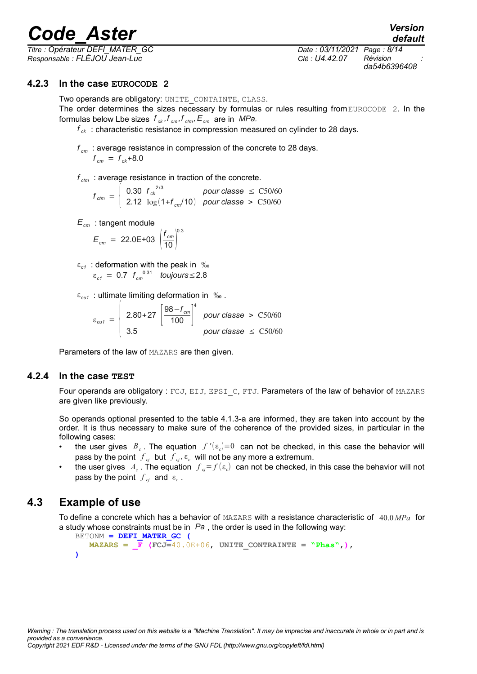*Titre : Opérateur DEFI\_MATER\_GC Date : 03/11/2021 Page : 8/14 Responsable : FLÉJOU Jean-Luc Clé : U4.42.07 Révision :*

*da54b6396408*

*default*

#### **4.2.3 In the case EUROCODE 2**

<span id="page-7-2"></span>Two operands are obligatory: UNITE\_CONTAINTE, CLASS.

The order determines the sizes necessary by formulas or rules resulting from EUROCODE 2. In the formulas below Lbe sizes  $f_{ck}$ ,  $f_{cm}$ ,  $f_{ctm}$ ,  $E_{cm}$  are in *MPa.* 

*f ck* : characteristic resistance in compression measured on cylinder to 28 days.

*f cm* : average resistance in compression of the concrete to 28 days.  $f_{cm} = f_{ck} + 8.0$ 

*f ctm* : average resistance in traction of the concrete.

- $f_{\rm ctm} = \begin{cases} \begin{array}{c} 0.30 \;\; f_{\rm c} \kappa^{2/3} & \text{pour classe } \leq \,\,\text{C50/60} \ 2.12 \;\; \log(1+f_{\rm sw}/10) & \text{pour classe} \,>\,\,\,\text{C50/60} \end{array} \end{cases}$ 2.12 log(1+*f cm*/10) *pour classe* > C50/60
- *Ecm* : tangent module

 $E_{cm} = 22.0E + 0.3 \left( \frac{f_{cm}}{10} \right)^{0.1}$ 0.3

- ε*c1* : deformation with the peak in ‰  $\varepsilon_{c1}$  = 0.7  $f_{cm}^{0.31}$  *toujours* ≤ 2.8
- ε*cu1* : ultimate limiting deformation in ‰ .

 $\varepsilon_{\text{cut}} = \begin{bmatrix} 2.80 + 27 & 98 - f_{\text{cm}} \\ 3.5 & 100 \end{bmatrix}^4$ 4 *pour classe* > C50/60  $3.5$  *pour classe*  $\leq C50/60$ 

Parameters of the law of MAZARS are then given.

#### **4.2.4 In the case TEST**

<span id="page-7-1"></span>Four operands are obligatory : FCJ, EIJ, EPSI C, FTJ. Parameters of the law of behavior of MAZARS are given like previously.

So operands optional presented to the table [4.1.3-a](#page-6-4) are informed, they are taken into account by the order. It is thus necessary to make sure of the coherence of the provided sizes, in particular in the following cases:

- the user gives  $B_c$ . The equation  $f'(\epsilon_c)=0$  can not be checked, in this case the behavior will pass by the point  $f_{cj}$  but  $f_{cj}$ ,  $\varepsilon_c$  will not be any more a extremum.
- the user gives  $A_c$  . The equation  $f_{cj} = f(\varepsilon_c)$  can not be checked, in this case the behavior will not pass by the point  $f_{c_j}$  and  $\varepsilon_c$ .

# **4.3 Example of use**

<span id="page-7-0"></span>To define a concrete which has a behavior of MAZARS with a resistance characteristic of 40.0 *MPa* for a study whose constraints must be in *Pa* , the order is used in the following way:

```
BETONM = DEFI_MATER_GC (
     \text{MAZARS} = \textbf{F} \left( \text{FCJ=40.0E+06}, \text{UNITE} \text{ CONTRAINTE} = \text{``Phase''}, \right))
```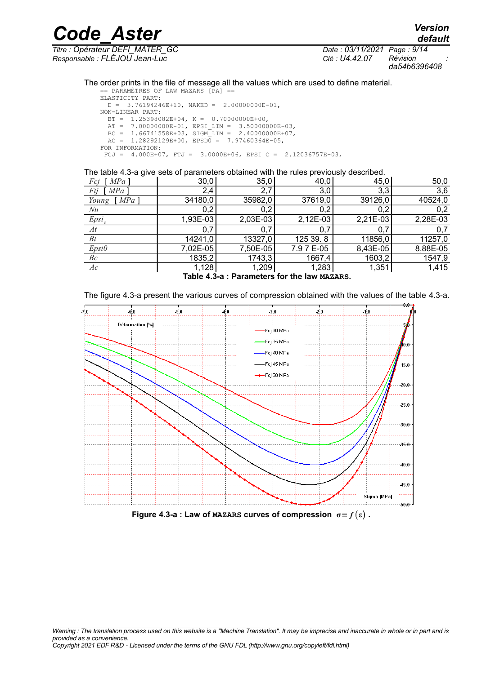*Code\_Aster Version Titre : Opérateur DEFI\_MATER\_GC Date : 03/11/2021 Page : 9/14 Responsable : FLÉJOU Jean-Luc Clé : U4.42.07 Révision :*

*da54b6396408*

#### The order prints in the file of message all the values which are used to define material. == PARAMÈTRES OF LAW MAZARS [PA] ==

```
ELASTICITY PART:
 E = 3.76194246E+10, NAKED = 2.00000000E-01,
NON-LINEAR PART:
 BT = 1.25398082E+04, K = 0.70000000E+00,
AT = 7.00000000E-01, EPSI LIM = 3.50000000E-03,
BC = 1.66741558E+03, SIGM LIM = 2.40000000E+07,
 AC = 1.28292129E+00, EPSD0 = 7.97460364E-05,
FOR INFORMATION:
FCJ = 4.000E+07, FTJ = 3.0000E+06, EPSI C = 2.12036757E-03,
```
The table [4.3-a](#page-8-0) give sets of parameters obtained with the rules previously described.

| $MPa$ ]<br>Fcj | 30,0     | 35,0     | 40,0       | 45,0       | 50,0     |
|----------------|----------|----------|------------|------------|----------|
| Ftj<br>MPa     | 2,4      | 2,7      | 3,0        | 3,3        | 3,6      |
| Young<br>MPa   | 34180,0  | 35982,0  | 37619,0    | 39126,0    | 40524,0  |
| Nu             | 0,2      | 0,2      | 0,2        | 0,2        | 0,2      |
| $Epsi_c$       | 1,93E-03 | 2,03E-03 | $2,12E-03$ | $2,21E-03$ | 2,28E-03 |
| At             | 0.7      | 0,7      | 0.7        | 0.7        | 0,7      |
| $B_t$          | 14241,0  | 13327,0  | 125 39.8   | 11856,0    | 11257,0  |
| Epsilon        | 7,02E-05 | 7,50E-05 | 7.9 7 E-05 | 8,43E-05   | 8,88E-05 |
| Bc             | 1835,2   | 1743,3   | 1667,4     | 1603,2     | 1547,9   |
| Ac             | 1,128    | 1,209    | 1,283      | 1,351      | 1,415    |
|                |          |          |            |            |          |

<span id="page-8-0"></span>**Table 4.3-a : Parameters for the law MAZARS.**

The figure [4.3-a](#page-8-1) present the various curves of compression obtained with the values of the table [4.3-a.](#page-8-0)

<span id="page-8-1"></span>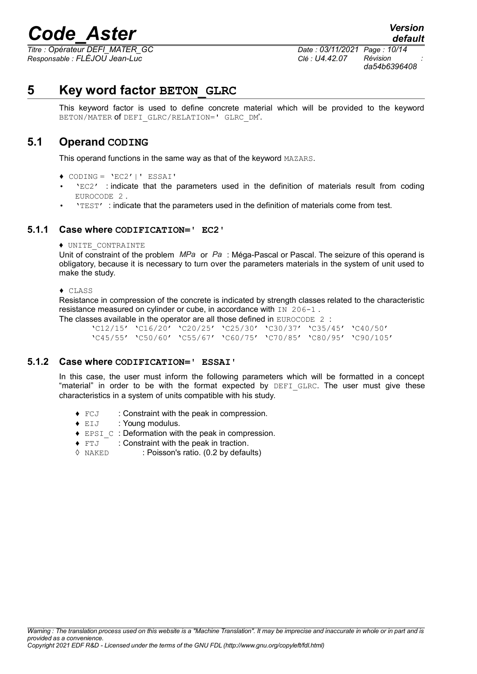*Responsable : FLÉJOU Jean-Luc Clé : U4.42.07 Révision :*

*Titre : Opérateur DEFI\_MATER\_GC Date : 03/11/2021 Page : 10/14 da54b6396408*

*default*

# **5 Key word factor BETON\_GLRC**

<span id="page-9-3"></span>This keyword factor is used to define concrete material which will be provided to the keyword BETON/MATER **of** DEFI\_GLRC/RELATION=' GLRC\_DM'.

### **5.1 Operand CODING**

<span id="page-9-2"></span>This operand functions in the same way as that of the keyword MAZARS.

- ♦ CODING = 'EC2'|' ESSAI'
- 'EC2' : indicate that the parameters used in the definition of materials result from coding EUROCODE 2
- 'TEST' : indicate that the parameters used in the definition of materials come from test.

#### **5.1.1 Case where CODIFICATION=' EC2'**

<span id="page-9-1"></span>♦ UNITE\_CONTRAINTE

Unit of constraint of the problem *MPa* or *Pa* : Méga-Pascal or Pascal. The seizure of this operand is obligatory, because it is necessary to turn over the parameters materials in the system of unit used to make the study.

#### ♦ CLASS

Resistance in compression of the concrete is indicated by strength classes related to the characteristic resistance measured on cylinder or cube, in accordance with IN 206-1.

The classes available in the operator are all those defined in EUROCODE 2: 'C12/15' 'C16/20' 'C20/25' 'C25/30' 'C30/37' 'C35/45' 'C40/50' 'C45/55' 'C50/60' 'C55/67' 'C60/75' 'C70/85' 'C80/95' 'C90/105'

#### **5.1.2 Case where CODIFICATION=' ESSAI'**

<span id="page-9-0"></span>In this case, the user must inform the following parameters which will be formatted in a concept "material" in order to be with the format expected by  $DEFI$  GLRC. The user must give these characteristics in a system of units compatible with his study.

- ♦ FCJ : Constraint with the peak in compression.
- ♦ EIJ : Young modulus.
- ♦ EPSI\_C : Deformation with the peak in compression.
- ♦ FTJ : Constraint with the peak in traction.
- ◊ NAKED : Poisson's ratio. (0.2 by defaults)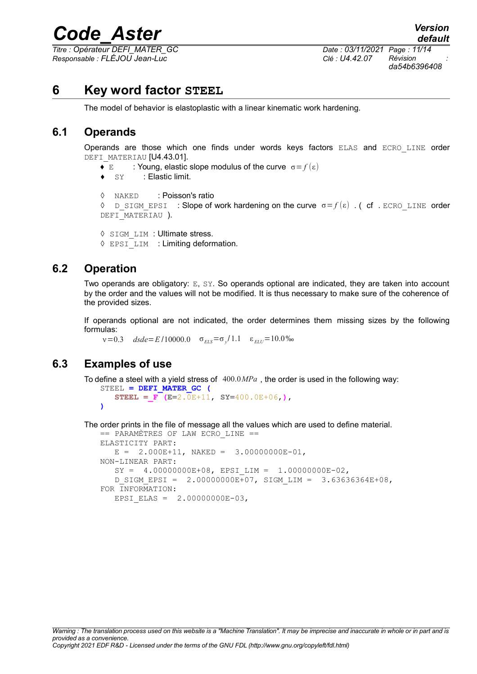*Titre : Opérateur DEFI\_MATER\_GC Date : 03/11/2021 Page : 11/14 Responsable : FLÉJOU Jean-Luc Clé : U4.42.07 Révision :*

*da54b6396408*

# **6 Key word factor STEEL**

<span id="page-10-3"></span>The model of behavior is elastoplastic with a linear kinematic work hardening.

### **6.1 Operands**

<span id="page-10-2"></span>Operands are those which one finds under words keys factors ELAS and ECRO\_LINE order DEFI\_MATERIAU [U4.43.01].

- $\blacklozenge$  **E** : Young, elastic slope modulus of the curve  $\sigma = f(\epsilon)$
- ♦ SY : Elastic limit.

```
◊ NAKED : Poisson's ratio
\Diamond D SIGM EPSI : Slope of work hardening on the curve σ = f(ε). ( cf . ECRO LINE order
DEFI_MATERIAU ).
```

```
◊ SIGM_LIM : Ultimate stress.
```
◊ EPSI\_LIM : Limiting deformation.

### **6.2 Operation**

<span id="page-10-1"></span>Two operands are obligatory: E, SY. So operands optional are indicated, they are taken into account by the order and the values will not be modified. It is thus necessary to make sure of the coherence of the provided sizes.

If operands optional are not indicated, the order determines them missing sizes by the following formulas:

 $v=0.3$  *dsde*=*E*/10000.0  $\sigma_{ELS} = \sigma_y/1.1$   $\varepsilon_{ELU} = 10.0\%$ 

# **6.3 Examples of use**

<span id="page-10-0"></span>To define a steel with a yield stress of 400.0*MPa* , the order is used in the following way: STEEL **= DEFI\_MATER\_GC (**

 **STEEL =\_F (E=**2.0E+11, **SY=**400.0E+06,**)**, **)**

The order prints in the file of message all the values which are used to define material.

```
== PARAMÈTRES OF LAW ECRO_LINE == 
ELASTICITY PART:
  E = 2.000E+11, NAKED = 3.00000000E-01,
NON-LINEAR PART:
   SY = 4.00000000E+08, EPSI LIM = 1.00000000E-02,
   D_SIGM_EPSI = 2.00000000E+07, SIGM_LIM = 3.63636364E+08,
FOR INFORMATION:
   EPSI ELAS = 2.00000000E-03,
```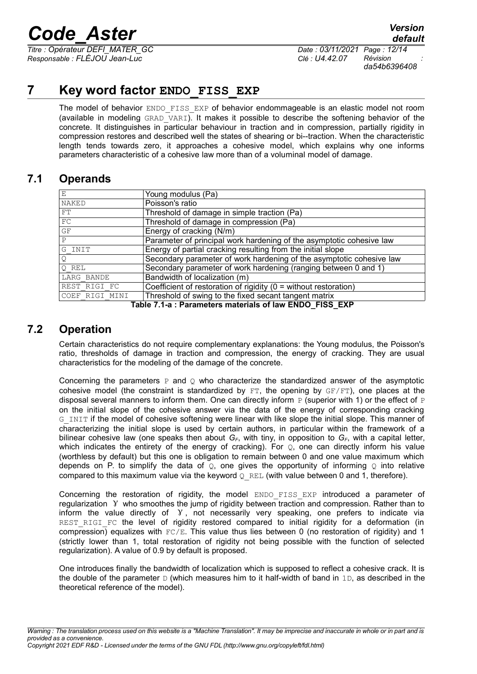*Titre : Opérateur DEFI\_MATER\_GC Date : 03/11/2021 Page : 12/14 Responsable : FLÉJOU Jean-Luc Clé : U4.42.07 Révision :*

*default*

# **7 Key word factor ENDO\_FISS\_EXP**

<span id="page-11-2"></span>The model of behavior ENDO FISS EXP of behavior endommageable is an elastic model not room (available in modeling  $GRAD$  VARI). It makes it possible to describe the softening behavior of the concrete. It distinguishes in particular behaviour in traction and in compression, partially rigidity in compression restores and described well the states of shearing or bi--traction. When the characteristic length tends towards zero, it approaches a cohesive model, which explains why one informs parameters characteristic of a cohesive law more than of a voluminal model of damage.

# **7.1 Operands**

<span id="page-11-1"></span>

| Е              | Young modulus (Pa)                                                   |  |  |  |
|----------------|----------------------------------------------------------------------|--|--|--|
| NAKED          | Poisson's ratio                                                      |  |  |  |
| FT             | Threshold of damage in simple traction (Pa)                          |  |  |  |
| FC             | Threshold of damage in compression (Pa)                              |  |  |  |
| GF             | Energy of cracking (N/m)                                             |  |  |  |
| $\mathsf{P}$   | Parameter of principal work hardening of the asymptotic cohesive law |  |  |  |
| G INIT         | Energy of partial cracking resulting from the initial slope          |  |  |  |
| Q              | Secondary parameter of work hardening of the asymptotic cohesive law |  |  |  |
| O REL          | Secondary parameter of work hardening (ranging between 0 and 1)      |  |  |  |
| LARG BANDE     | Bandwidth of localization (m)                                        |  |  |  |
| REST RIGI FC   | Coefficient of restoration of rigidity (0 = without restoration)     |  |  |  |
| COEF RIGI MINI | Threshold of swing to the fixed secant tangent matrix                |  |  |  |
|                |                                                                      |  |  |  |

**Table 7.1-a : Parameters materials of law ENDO\_FISS\_EXP**

# **7.2 Operation**

<span id="page-11-0"></span>Certain characteristics do not require complementary explanations: the Young modulus, the Poisson's ratio, thresholds of damage in traction and compression, the energy of cracking. They are usual characteristics for the modeling of the damage of the concrete.

Concerning the parameters  $P$  and  $Q$  who characterize the standardized answer of the asymptotic cohesive model (the constraint is standardized by  $FT$ , the opening by  $GF/FT$ ), one places at the disposal several manners to inform them. One can directly inform  $P$  (superior with 1) or the effect of  $P$ on the initial slope of the cohesive answer via the data of the energy of corresponding cracking G\_INIT if the model of cohesive softening were linear with like slope the initial slope. This manner of characterizing the initial slope is used by certain authors, in particular within the framework of a bilinear cohesive law (one speaks then about *GF*, with tiny, in opposition to *GF*, with a capital letter, which indicates the entirety of the energy of cracking). For  $\mathcal{Q}$ , one can directly inform his value (worthless by default) but this one is obligation to remain between 0 and one value maximum which depends on P. to simplify the data of  $\overline{Q}$ , one gives the opportunity of informing  $\overline{Q}$  into relative compared to this maximum value via the keyword  $Q$  REL (with value between 0 and 1, therefore).

Concerning the restoration of rigidity, the model ENDO FISS EXP introduced a parameter of regularization γ who smoothes the jump of rigidity between traction and compression. Rather than to inform the value directly of  $\gamma$ , not necessarily very speaking, one prefers to indicate via REST RIGI FC the level of rigidity restored compared to initial rigidity for a deformation (in compression) equalizes with  $FC/E$ . This value thus lies between 0 (no restoration of rigidity) and 1 (strictly lower than 1, total restoration of rigidity not being possible with the function of selected regularization). A value of 0.9 by default is proposed.

One introduces finally the bandwidth of localization which is supposed to reflect a cohesive crack. It is the double of the parameter  $D$  (which measures him to it half-width of band in 1D, as described in the theoretical reference of the model).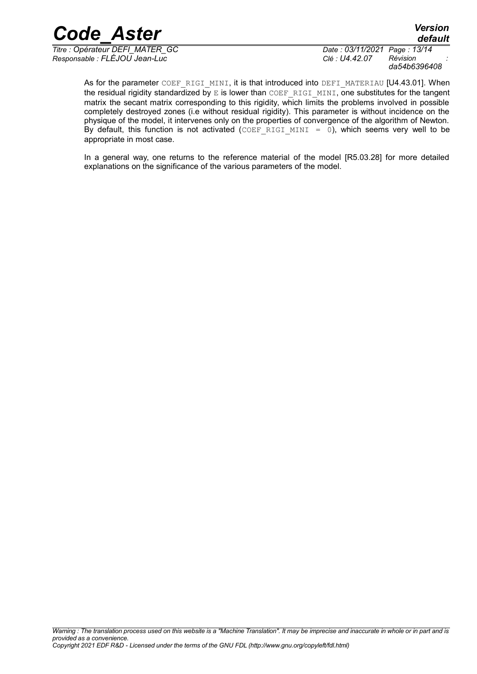*Titre : Opérateur DEFI\_MATER\_GC Date : 03/11/2021 Page : 13/14 Responsable : FLÉJOU Jean-Luc Clé : U4.42.07 Révision :*

*da54b6396408*

*default*

As for the parameter COEF\_RIGI\_MINI, it is that introduced into DEFI\_MATERIAU [U4.43.01]. When the residual rigidity standardized by E is lower than COEF\_RIGI\_MINI, one substitutes for the tangent matrix the secant matrix corresponding to this rigidity, which limits the problems involved in possible completely destroyed zones (i.e without residual rigidity). This parameter is without incidence on the physique of the model, it intervenes only on the properties of convergence of the algorithm of Newton. By default, this function is not activated (COEF RIGI MINI = 0), which seems very well to be appropriate in most case.

In a general way, one returns to the reference material of the model [R5.03.28] for more detailed explanations on the significance of the various parameters of the model.